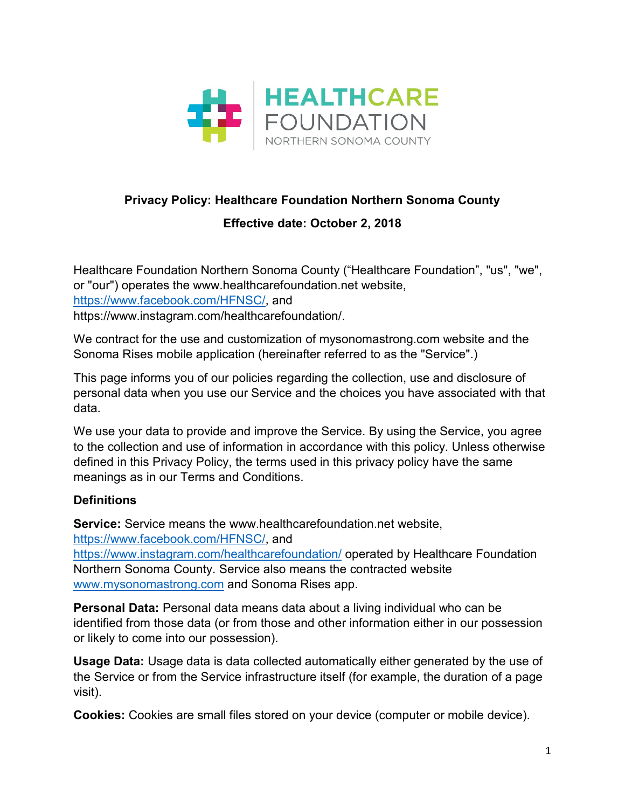

# **Privacy Policy: Healthcare Foundation Northern Sonoma County**

# **Effective date: October 2, 2018**

Healthcare Foundation Northern Sonoma County ("Healthcare Foundation", "us", "we", or "our") operates the www.healthcarefoundation.net website, [https://www.facebook.com/HFNSC/,](https://www.facebook.com/HFNSC/) and https://www.instagram.com/healthcarefoundation/.

We contract for the use and customization of mysonomastrong.com website and the Sonoma Rises mobile application (hereinafter referred to as the "Service".)

This page informs you of our policies regarding the collection, use and disclosure of personal data when you use our Service and the choices you have associated with that data.

We use your data to provide and improve the Service. By using the Service, you agree to the collection and use of information in accordance with this policy. Unless otherwise defined in this Privacy Policy, the terms used in this privacy policy have the same meanings as in our Terms and Conditions.

# **Definitions**

**Service:** Service means the www.healthcarefoundation.net website, [https://www.facebook.com/HFNSC/,](https://www.facebook.com/HFNSC/) and <https://www.instagram.com/healthcarefoundation/> operated by Healthcare Foundation Northern Sonoma County. Service also means the contracted website [www.mysonomastrong.com](http://www.mysonomastrong.com/) and Sonoma Rises app.

**Personal Data:** Personal data means data about a living individual who can be identified from those data (or from those and other information either in our possession or likely to come into our possession).

**Usage Data:** Usage data is data collected automatically either generated by the use of the Service or from the Service infrastructure itself (for example, the duration of a page visit).

**Cookies:** Cookies are small files stored on your device (computer or mobile device).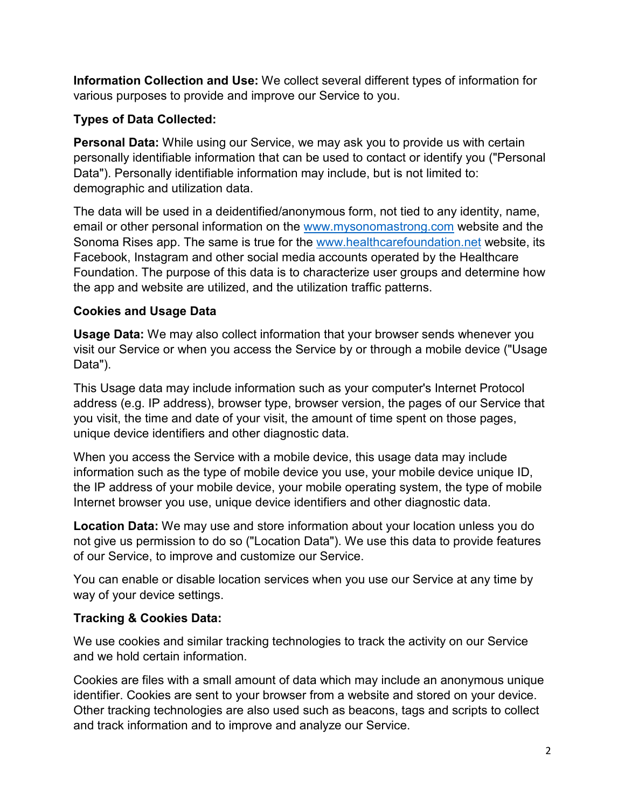**Information Collection and Use:** We collect several different types of information for various purposes to provide and improve our Service to you.

# **Types of Data Collected:**

**Personal Data:** While using our Service, we may ask you to provide us with certain personally identifiable information that can be used to contact or identify you ("Personal Data"). Personally identifiable information may include, but is not limited to: demographic and utilization data.

The data will be used in a deidentified/anonymous form, not tied to any identity, name, email or other personal information on the [www.mysonomastrong.com](http://www.mysonomastrong.com/) website and the Sonoma Rises app. The same is true for the [www.healthcarefoundation.net](http://www.healthcarefoundation.net/) website, its Facebook, Instagram and other social media accounts operated by the Healthcare Foundation. The purpose of this data is to characterize user groups and determine how the app and website are utilized, and the utilization traffic patterns.

# **Cookies and Usage Data**

**Usage Data:** We may also collect information that your browser sends whenever you visit our Service or when you access the Service by or through a mobile device ("Usage Data").

This Usage data may include information such as your computer's Internet Protocol address (e.g. IP address), browser type, browser version, the pages of our Service that you visit, the time and date of your visit, the amount of time spent on those pages, unique device identifiers and other diagnostic data.

When you access the Service with a mobile device, this usage data may include information such as the type of mobile device you use, your mobile device unique ID, the IP address of your mobile device, your mobile operating system, the type of mobile Internet browser you use, unique device identifiers and other diagnostic data.

**Location Data:** We may use and store information about your location unless you do not give us permission to do so ("Location Data"). We use this data to provide features of our Service, to improve and customize our Service.

You can enable or disable location services when you use our Service at any time by way of your device settings.

# **Tracking & Cookies Data:**

We use cookies and similar tracking technologies to track the activity on our Service and we hold certain information.

Cookies are files with a small amount of data which may include an anonymous unique identifier. Cookies are sent to your browser from a website and stored on your device. Other tracking technologies are also used such as beacons, tags and scripts to collect and track information and to improve and analyze our Service.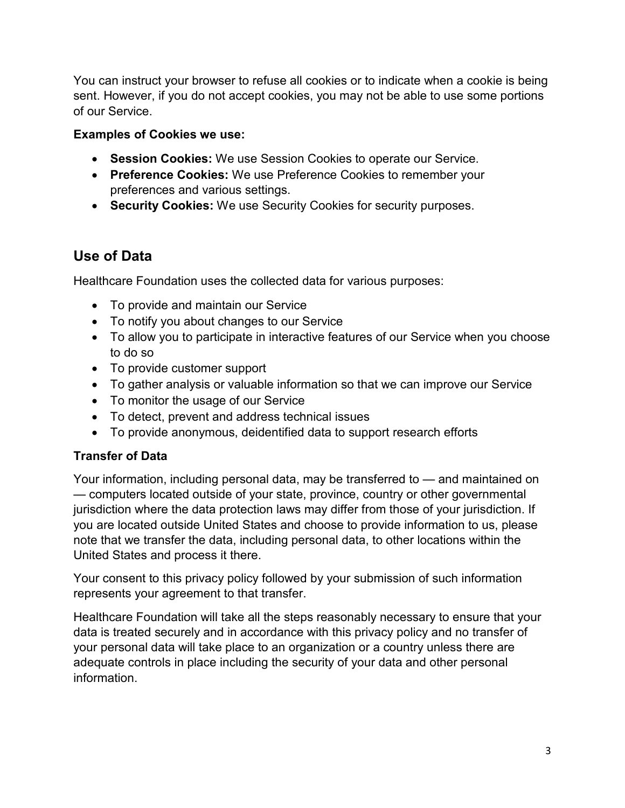You can instruct your browser to refuse all cookies or to indicate when a cookie is being sent. However, if you do not accept cookies, you may not be able to use some portions of our Service.

#### **Examples of Cookies we use:**

- **Session Cookies:** We use Session Cookies to operate our Service.
- **Preference Cookies:** We use Preference Cookies to remember your preferences and various settings.
- **Security Cookies:** We use Security Cookies for security purposes.

# **Use of Data**

Healthcare Foundation uses the collected data for various purposes:

- To provide and maintain our Service
- To notify you about changes to our Service
- To allow you to participate in interactive features of our Service when you choose to do so
- To provide customer support
- To gather analysis or valuable information so that we can improve our Service
- To monitor the usage of our Service
- To detect, prevent and address technical issues
- To provide anonymous, deidentified data to support research efforts

#### **Transfer of Data**

Your information, including personal data, may be transferred to — and maintained on — computers located outside of your state, province, country or other governmental jurisdiction where the data protection laws may differ from those of your jurisdiction. If you are located outside United States and choose to provide information to us, please note that we transfer the data, including personal data, to other locations within the United States and process it there.

Your consent to this privacy policy followed by your submission of such information represents your agreement to that transfer.

Healthcare Foundation will take all the steps reasonably necessary to ensure that your data is treated securely and in accordance with this privacy policy and no transfer of your personal data will take place to an organization or a country unless there are adequate controls in place including the security of your data and other personal information.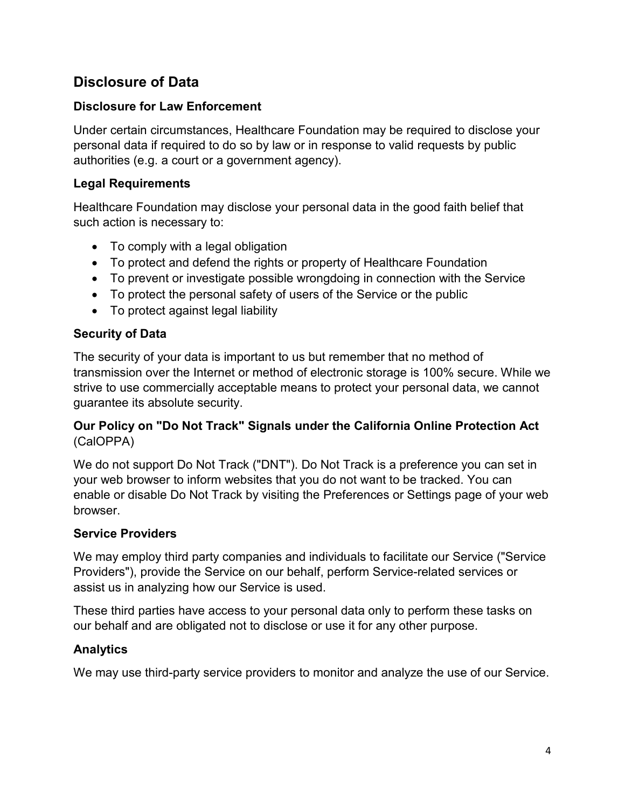# **Disclosure of Data**

#### **Disclosure for Law Enforcement**

Under certain circumstances, Healthcare Foundation may be required to disclose your personal data if required to do so by law or in response to valid requests by public authorities (e.g. a court or a government agency).

#### **Legal Requirements**

Healthcare Foundation may disclose your personal data in the good faith belief that such action is necessary to:

- To comply with a legal obligation
- To protect and defend the rights or property of Healthcare Foundation
- To prevent or investigate possible wrongdoing in connection with the Service
- To protect the personal safety of users of the Service or the public
- To protect against legal liability

#### **Security of Data**

The security of your data is important to us but remember that no method of transmission over the Internet or method of electronic storage is 100% secure. While we strive to use commercially acceptable means to protect your personal data, we cannot guarantee its absolute security.

#### **Our Policy on "Do Not Track" Signals under the California Online Protection Act** (CalOPPA)

We do not support Do Not Track ("DNT"). Do Not Track is a preference you can set in your web browser to inform websites that you do not want to be tracked. You can enable or disable Do Not Track by visiting the Preferences or Settings page of your web browser.

#### **Service Providers**

We may employ third party companies and individuals to facilitate our Service ("Service Providers"), provide the Service on our behalf, perform Service-related services or assist us in analyzing how our Service is used.

These third parties have access to your personal data only to perform these tasks on our behalf and are obligated not to disclose or use it for any other purpose.

# **Analytics**

We may use third-party service providers to monitor and analyze the use of our Service.